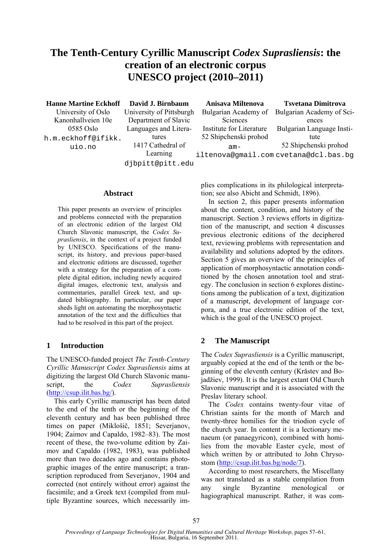# **The Tenth-Century Cyrillic Manuscript** *Codex Suprasliensis***: the creation of an electronic corpus UNESCO project (2010–2011)**

**Hanne Martine Eckhoff**

University of Oslo Kanonhallveien 10e 0585 Oslo h.m.eckhoff@ifikk. uio.no

**David J. Birnbaum**  University of Pittsburgh Department of Slavic Languages and Literatures 1417 Cathedral of Learning djbpitt@pitt.edu

**Anisava Miltenova**  Bulgarian Academy of Sciences Institute for Literature 52 Shipchenski prohod amiltenova@gmail.com cvetana@dcl.bas.bg **Tsvetana Dimitrova**  Bulgarian Academy of Sciences Bulgarian Language Institute 52 Shipchenski prohod

#### **Abstract**

This paper presents an overview of principles and problems connected with the preparation of an electronic edition of the largest Old Church Slavonic manuscript, the *Codex Suprasliensis*, in the context of a project funded by UNESCO. Specifications of the manuscript, its history, and previous paper-based and electronic editions are discussed, together with a strategy for the preparation of a complete digital edition, including newly acquired digital images, electronic text, analysis and commentaries, parallel Greek text, and updated bibliography. In particular, our paper sheds light on automating the morphosyntactic annotation of the text and the difficulties that had to be resolved in this part of the project.

#### **1 Introduction**

The UNESCO-funded project *The Tenth-Century Cyrillic Manuscript Codex Suprasliensis* aims at digitizing the largest Old Church Slavonic manuscript, the *Codex Suprasliensis* (http://csup.ilit.bas.bg/).

This early Cyrillic manuscript has been dated to the end of the tenth or the beginning of the eleventh century and has been published three times on paper (Miklošič, 1851; Severjanov, 1904; Zaimov and Capaldo, 1982–83). The most recent of these, the two-volume edition by Zaimov and Capaldo (1982, 1983), was published more than two decades ago and contains photographic images of the entire manuscript; a transcription reproduced from Severjanov, 1904 and corrected (not entirely without error) against the facsimile; and a Greek text (compiled from multiple Byzantine sources, which necessarily implies complications in its philological interpretation; see also Abicht and Schmidt, 1896).

In section 2, this paper presents information about the content, condition, and history of the manuscript. Section 3 reviews efforts in digitization of the manuscript, and section 4 discusses previous electronic editions of the deciphered text, reviewing problems with representation and availability and solutions adopted by the editors. Section 5 gives an overview of the principles of application of morphosyntactic annotation conditioned by the chosen annotation tool and strategy. The conclusion in section 6 explores distinctions among the publication of a text, digitization of a manuscript, development of language corpora, and a true electronic edition of the text, which is the goal of the UNESCO project.

# **2 The Manuscript**

The *Codex Suprasliensis* is a Cyrillic manuscript, arguably copied at the end of the tenth or the beginning of the eleventh century (Krǎstev and Bojadžiev, 1999). It is the largest extant Old Church Slavonic manuscript and it is associated with the Preslav literary school.

The *Codex* contains twenty-four vitae of Christian saints for the month of March and twenty-three homilies for the triodion cycle of the church year. In content it is a lectionary menaeum (or panaegyricon), combined with homilies from the movable Easter cycle, most of which written by or attributed to John Chrysostom (http://csup.ilit.bas.bg/node/7).

According to most researchers, the Miscellany was not translated as a stable compilation from any single Byzantine menological or hagiographical manuscript. Rather, it was com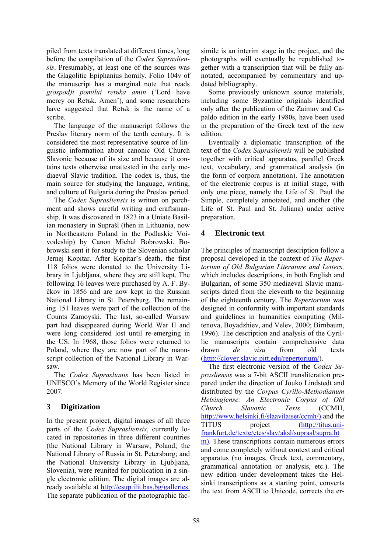piled from texts translated at different times, long before the compilation of the *Codex Suprasliensis*. Presumably, at least one of the sources was the Glagolitic Epiphanius homily. Folio 104v of the manuscript has a marginal note that reads *g(ospod)i pomilui retъka amin* ('Lord have mercy on Retъk. Amen'), and some researchers have suggested that Retъk is the name of a scribe.

The language of the manuscript follows the Preslav literary norm of the tenth century. It is considered the most representative source of linguistic information about canonic Old Church Slavonic because of its size and because it contains texts otherwise unattested in the early mediaeval Slavic tradition. The codex is, thus, the main source for studying the language, writing, and culture of Bulgaria during the Preslav period.

The *Codex Suprasliensis* is written on parchment and shows careful writing and craftsmanship. It was discovered in 1823 in a Uniate Basilian monastery in Supraśl (then in Lithuania, now in Northeastern Poland in the Podlaskie Voivodeship) by Canon Michał Bobrowski. Bobrowski sent it for study to the Slovenian scholar Jernej Kopitar. After Kopitar's death, the first 118 folios were donated to the University Library in Ljubljana, where they are still kept. The following 16 leaves were purchased by A. F. Byčkov in 1856 and are now kept in the Russian National Library in St. Petersburg. The remaining 151 leaves were part of the collection of the Counts Zamoyski. The last, so-called Warsaw part had disappeared during World War II and were long considered lost until re-emerging in the US. In 1968, those folios were returned to Poland, where they are now part of the manuscript collection of the National Library in Warsaw.

The *Codex Supraslianis* has been listed in UNESCO's Memory of the World Register since 2007.

# **3 Digitization**

In the present project, digital images of all three parts of the *Codex Suprasliensis*, currently located in repositories in three different countries (the National Library in Warsaw, Poland; the National Library of Russia in St. Petersburg; and the National University Library in Ljubljana, Slovenia), were reunited for publication in a single electronic edition. The digital images are already available at http://csup.ilit.bas.bg/galleries. The separate publication of the photographic facsimile is an interim stage in the project, and the photographs will eventually be republished together with a transcription that will be fully annotated, accompanied by commentary and updated bibliography.

Some previously unknown source materials, including some Byzantine originals identified only after the publication of the Zaimov and Capaldo edition in the early 1980s, have been used in the preparation of the Greek text of the new edition.

Eventually a diplomatic transcription of the text of the *Codex Suprasliensis* will be published together with critical apparatus, parallel Greek text, vocabulary, and grammatical analysis (in the form of corpora annotation). The annotation of the electronic corpus is at initial stage, with only one piece, namely the Life of St. Paul the Simple, completely annotated, and another (the Life of St. Paul and St. Juliana) under active preparation.

## **4 Electronic text**

The principles of manuscript description follow a proposal developed in the context of *The Repertorium of Old Bulgarian Literature and Letters,* which includes descriptions, in both English and Bulgarian, of some 350 mediaeval Slavic manuscripts dated from the eleventh to the beginning of the eighteenth century. The *Repertorium* was designed in conformity with important standards and guidelines in humanities computing (Miltenova, Boyadzhiev, and Velev, 2000; Birnbaum, 1996). The description and analysis of the Cyrillic manuscripts contain comprehensive data drawn *de visu* from old texts (http://clover.slavic.pitt.edu/repertorium/).

The first electronic version of the *Codex Suprasliensis* was a 7-bit ASCII transliteration prepared under the direction of Jouko Lindstedt and distributed by the *Corpus Cyrillo-Methodianum Helsingiense: An Electronic Corpus of Old Church Slavonic Texts* (CCMH, http://www.helsinki.fi/slaavilaiset/ccmh/) and the TITUS project (http://titus.unifrankfurt.de/texte/etcs/slav/aksl/suprasl/supra.ht m). These transcriptions contain numerous errors and come completely without context and critical apparatus (no images, Greek text, commentary, grammatical annotation or analysis, etc.). The new edition under development takes the Helsinki transcriptions as a starting point, converts the text from ASCII to Unicode, corrects the er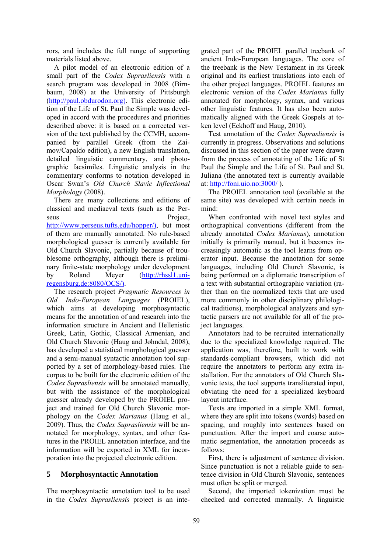rors, and includes the full range of supporting materials listed above.

A pilot model of an electronic edition of a small part of the *Codex Suprasliensis* with a search program was developed in 2008 (Birnbaum, 2008) at the University of Pittsburgh (http://paul.obdurodon.org). This electronic edition of the Life of St. Paul the Simple was developed in accord with the procedures and priorities described above: it is based on a corrected version of the text published by the CCMH, accompanied by parallel Greek (from the Zaimov/Capaldo edition), a new English translation, detailed linguistic commentary, and photographic facsimiles. Linguistic analysis in the commentary conforms to notation developed in Oscar Swan's *Old Church Slavic Inflectional Morphology* (2008).

There are many collections and editions of classical and mediaeval texts (such as the Perseus Project, http://www.perseus.tufts.edu/hopper/), but most of them are manually annotated. No rule-based morphological guesser is currently available for Old Church Slavonic, partially because of troublesome orthography, although there is preliminary finite-state morphology under development by Roland Meyer (http://rhssl1.uniregensburg.de:8080/OCS/).

The research project *Pragmatic Resources in Old Indo-European Languages* (PROIEL), which aims at developing morphosyntactic means for the annotation of and research into the information structure in Ancient and Hellenistic Greek, Latin, Gothic, Classical Armenian, and Old Church Slavonic (Haug and Jøhndal, 2008), has developed a statistical morphological guesser and a semi-manual syntactic annotation tool supported by a set of morphology-based rules. The corpus to be built for the electronic edition of the *Codex Suprasliensis* will be annotated manually, but with the assistance of the morphological guesser already developed by the PROIEL project and trained for Old Church Slavonic morphology on the *Codex Marianus* (Haug et al., 2009). Thus, the *Codex Suprasliensis* will be annotated for morphology, syntax, and other features in the PROIEL annotation interface, and the information will be exported in XML for incorporation into the projected electronic edition.

### **5 Morphosyntactic Annotation**

The morphosyntactic annotation tool to be used in the *Codex Suprasliensis* project is an inte-

grated part of the PROIEL parallel treebank of ancient Indo-European languages. The core of the treebank is the New Testament in its Greek original and its earliest translations into each of the other project languages. PROIEL features an electronic version of the *Codex Marianus* fully annotated for morphology, syntax, and various other linguistic features. It has also been automatically aligned with the Greek Gospels at token level (Eckhoff and Haug, 2010).

Test annotation of the *Codex Suprasliensis* is currently in progress. Observations and solutions discussed in this section of the paper were drawn from the process of annotating of the Life of St Paul the Simple and the Life of St. Paul and St. Juliana (the annotated text is currently available at: http://foni.uio.no:3000/ ).

The PROIEL annotation tool (available at the same site) was developed with certain needs in mind:

When confronted with novel text styles and orthographical conventions (different from the already annotated *Codex Marianus*), annotation initially is primarily manual, but it becomes increasingly automatic as the tool learns from operator input. Because the annotation for some languages, including Old Church Slavonic, is being performed on a diplomatic transcription of a text with substantial orthographic variation (rather than on the normalized texts that are used more commonly in other disciplinary philological traditions), morphological analyzers and syntactic parsers are not available for all of the project languages.

Annotators had to be recruited internationally due to the specialized knowledge required. The application was, therefore, built to work with standards-compliant browsers, which did not require the annotators to perform any extra installation. For the annotators of Old Church Slavonic texts, the tool supports transliterated input, obviating the need for a specialized keyboard layout interface.

Texts are imported in a simple XML format, where they are split into tokens (words) based on spacing, and roughly into sentences based on punctuation. After the import and coarse automatic segmentation, the annotation proceeds as follows:

First, there is adjustment of sentence division. Since punctuation is not a reliable guide to sentence division in Old Church Slavonic, sentences must often be split or merged.

Second, the imported tokenization must be checked and corrected manually. A linguistic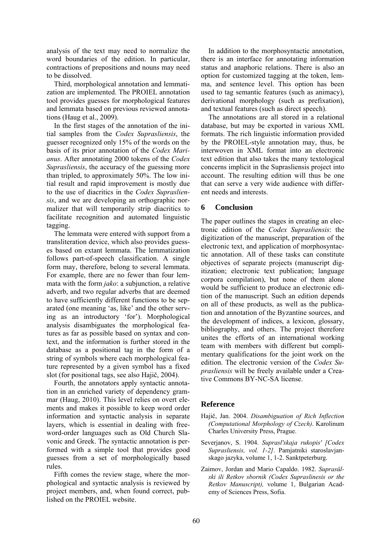analysis of the text may need to normalize the word boundaries of the edition. In particular, contractions of prepositions and nouns may need to be dissolved.

Third, morphological annotation and lemmatization are implemented. The PROIEL annotation tool provides guesses for morphological features and lemmata based on previous reviewed annotations (Haug et al., 2009).

In the first stages of the annotation of the initial samples from the *Codex Suprasliensis*, the guesser recognized only 15% of the words on the basis of its prior annotation of the *Codex Marianus*. After annotating 2000 tokens of the *Codex Suprasliensis*, the accuracy of the guessing more than tripled, to approximately 50%. The low initial result and rapid improvement is mostly due to the use of diacritics in the *Codex Suprasliensis*, and we are developing an orthographic normalizer that will temporarily strip diacritics to facilitate recognition and automated linguistic tagging.

The lemmata were entered with support from a transliteration device, which also provides guesses based on extant lemmata. The lemmatization follows part-of-speech classification. A single form may, therefore, belong to several lemmata. For example, there are no fewer than four lemmata with the form *jako*: a subjunction, a relative adverb, and two regular adverbs that are deemed to have sufficiently different functions to be separated (one meaning 'as, like' and the other serving as an introductory 'for'). Morphological analysis disambiguates the morphological features as far as possible based on syntax and context, and the information is further stored in the database as a positional tag in the form of a string of symbols where each morphological feature represented by a given symbol has a fixed slot (for positional tags, see also Hajič, 2004).

Fourth, the annotators apply syntactic annotation in an enriched variety of dependency grammar (Haug, 2010). This level relies on overt elements and makes it possible to keep word order information and syntactic analysis in separate layers, which is essential in dealing with freeword-order languages such as Old Church Slavonic and Greek. The syntactic annotation is performed with a simple tool that provides good guesses from a set of morphologically based rules.

Fifth comes the review stage, where the morphological and syntactic analysis is reviewed by project members, and, when found correct, published on the PROIEL website.

In addition to the morphosyntactic annotation, there is an interface for annotating information status and anaphoric relations. There is also an option for customized tagging at the token, lemma, and sentence level. This option has been used to tag semantic features (such as animacy), derivational morphology (such as prefixation), and textual features (such as direct speech).

The annotations are all stored in a relational database, but may be exported in various XML formats. The rich linguistic information provided by the PROIEL-style annotation may, thus, be interwoven in XML format into an electronic text edition that also takes the many textological concerns implicit in the Suprasliensis project into account. The resulting edition will thus be one that can serve a very wide audience with different needs and interests.

#### **6 Conclusion**

The paper outlines the stages in creating an electronic edition of the *Codex Suprasliensis*: the digitization of the manuscript, preparation of the electronic text, and application of morphosyntactic annotation. All of these tasks can constitute objectives of separate projects (manuscript digitization; electronic text publication; language corpora compilation), but none of them alone would be sufficient to produce an electronic edition of the manuscript. Such an edition depends on all of these products, as well as the publication and annotation of the Byzantine sources, and the development of indices, a lexicon, glossary, bibliography, and others. The project therefore unites the efforts of an international working team with members with different but complimentary qualifications for the joint work on the edition. The electronic version of the *Codex Suprasliensis* will be freely available under a Creative Commons BY-NC-SA license.

### **Reference**

- Hajič, Jan. 2004. *Disambiguation of Rich Inflection (Computational Morphology of Czech)*. Karolinum Charles University Press, Prague.
- Severjanov, S. 1904. *Suprasl′skaja rukopis′ [Codex Suprasliensis, vol. 1-2]*. Pamjatniki staroslavjanskago jazyka, volume 1, 1-2. Sanktpeterburg.
- Zaimov, Jordan and Mario Capaldo. 1982. *Suprasŭlski ili Retkov sbornik (Codex Supraslinesis or the Retkov Manuscript),* volume 1, Bulgarian Academy of Sciences Press, Sofia.